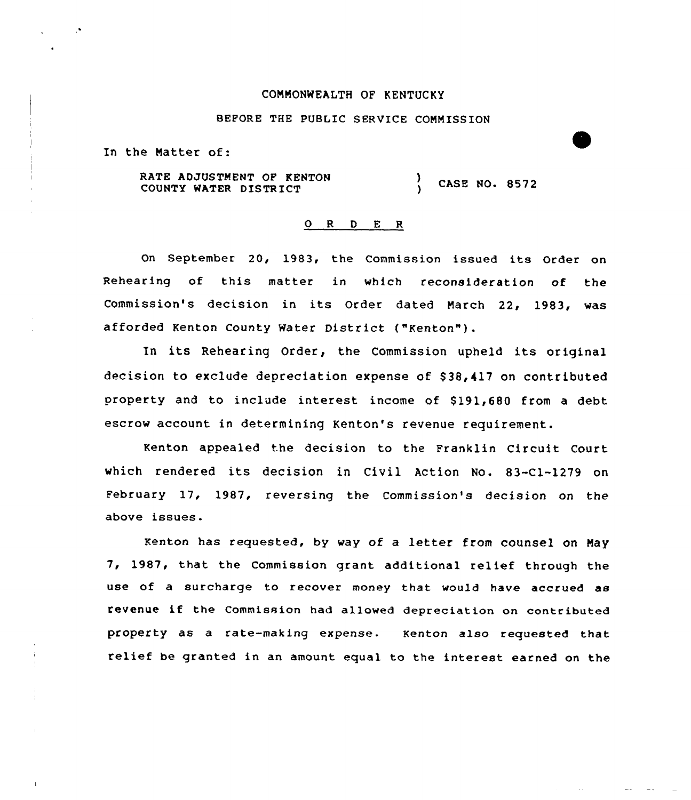### CONMONWEALTH OF KENTUCKY

# BEFORE THE PUBLIC SERVICE COMMISSION

In the Natter of:

RATE ADJUSTMENT OF KENTON COUNTY WATER DISTRICT ) CASE NQ. 8572

## 0 <sup>R</sup> <sup>D</sup> E <sup>R</sup>

On September 20, 1983, the Commission issued its Order on Rehearing of this matter in which reconsideration of the Commission's decision in its Order dated Narch 22, 1983, was afforded Kenton County Water District ("Kenton").

In its Rehearing Order, the Commission upheld its original decision to exclude depreciation expense of \$38,417 on contributed property and to include interest income of \$ 191,680 from a debt escrow account in determining Kenton's revenue requirement.

Kenton appealed the decision to the Franklin Circuit Court which rendered its decision in Civil Action No. 83-Cl-1279 on February 17, 1987, reversing the Commission's decision on the above issues.

benton has requested, by way of a letter from counsel on Nay 7, 1987, that the Commission grant additional relief through the use of a surcharge to recover money that would have accrued as revenue if the Commission had allowed depreciation on contributed property as a rate-making expense. Kenton also requested that relief be granted in an amount equal to the interest earned on the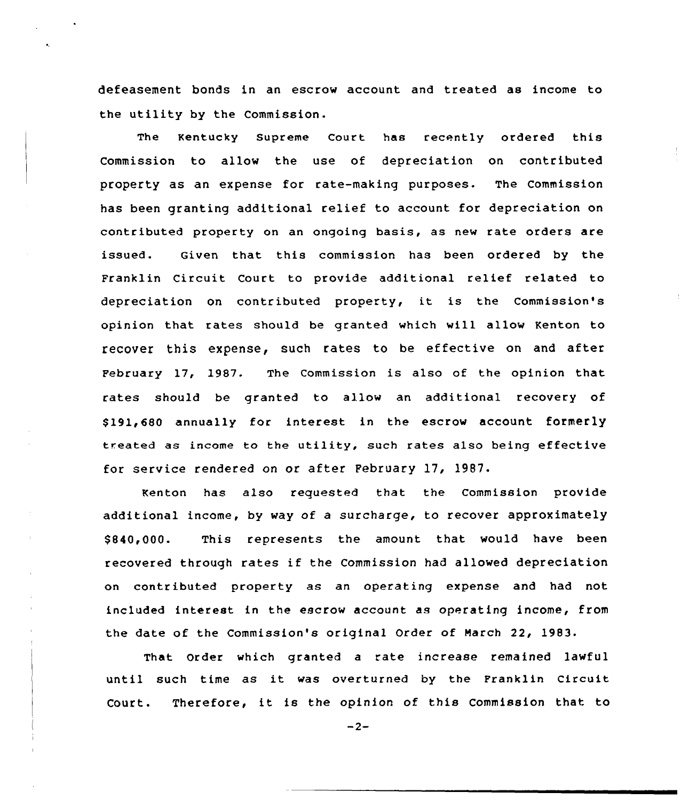defeasement bonds in an escrow account and treated as income to the utility by the Commission.

The Kentucky supreme court has recently ordered this Commission to allow the use of depreciation on contributed property as an expense for rate-making purposes. The Commission has been granting additional relief to account for depreciation on contributed property on an ongoing basis, as new rate orders are issued. Given that this commission has been ordered by the Franklin Circuit Court to provide additional relief related to depreciation on contributed property, it is the Commission's opinion that rates should be granted which will allow Kenton to recover this expense, such rates to be effective on and after February 17, 1987. The Commission is also of the opinion that rates should be granted to allow an additional recovery of \$ 191,680 annually for interest in the escrow account formerly treated as income to the utility, such rates also being effective for service rendered on or after February 17, 1987.

Kenton has also requested that the Commission provide additional income, by way of a surcharge, to recover approximately \$840,000. This represents the amount that would have been recovered through rates if the Commission had allowed depreciation on contributed property as an operating expense and had not included interest in the escrow account as operating income, from the date of the Commission's original Order of March 22, 1983.

That Order which granted a rate increase remained lawful until such time as it was overturned by the Franklin Circuit Court. Therefore, it is the opinion of this Commission that to

 $-2-$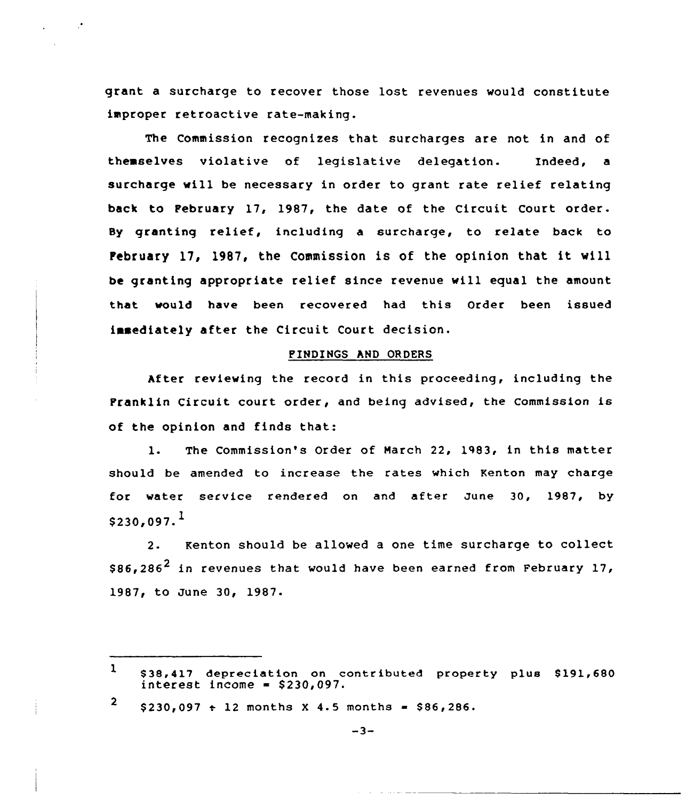grant a surcharge to recover those lost revenues would constitute improper retroactive rate-making.

The Commission recognizes that surcharges are not in and of themselves violative of legislative delegation. Indeed, a surcharge will be necessary in order to grant rate relief relating back to February 17, 1987, the date of the Circuit Court order. Sy granting relief, including <sup>a</sup> surcharge, to relate back to February 17, 1987, the Commission is of the opinion that it will be granting appropriate relief since revenue will equal the amount that. would have been recovered had this Order been issued insediately after the Circuit Court decision.

## PIHDINGS hND ORDERS

hfter reviewing the record in this proceeding, including the Franklin Circuit court order, and being advised, the Commission is of the opinion and finds that:

1. The Commission's Order of March 22, 1983, in this matter should be amended to increase the rates which Kenton may charge for water service rendered on and after June 30, 1987, by  $$230.097.<sup>1</sup>$ 

2- Kenton should be allowed a one time surcharge to collect \$86.286<sup>2</sup> in revenues that would have been earned from February 17, 1987, to June 30, 1987.

2  $$230,097 + 12$  months X 4.5 months = \$86,286.

 $\mathbf{1}$ \$38,417 depreciation on contributed property plus \$191,680<br>interest income = \$230,097.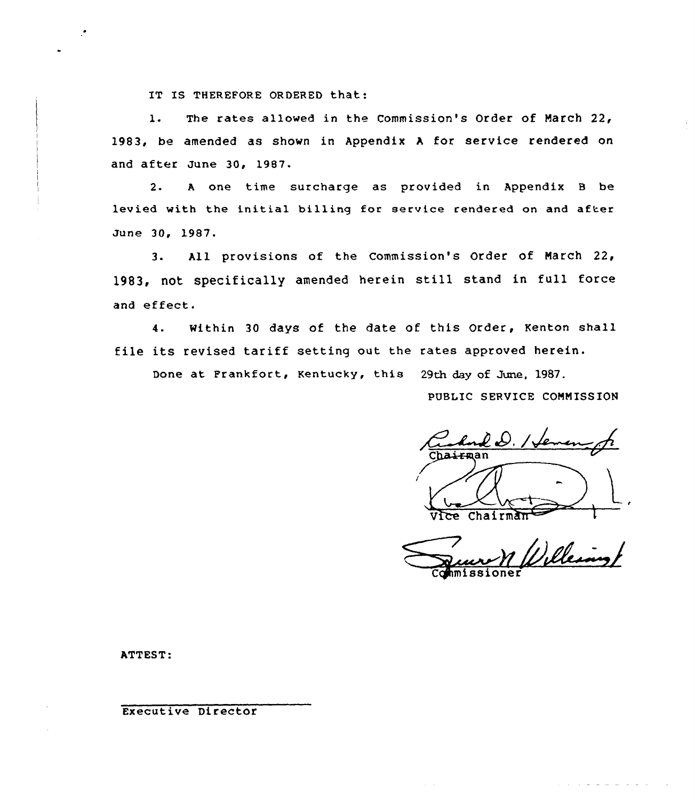IT IS THEREFORE ORDERED that:

1. The rates allowed in the Commission's Order of March 22, 1983, be amended as shown in Appendix <sup>A</sup> for service rendered on and after June 30, 19B7.

2. <sup>A</sup> one time surcharge as provided in Appendix <sup>B</sup> be levied with the initial billing for service rendered on and after June 30, 19S7.

3. All provisions of the Commission's Order of March 22, 1983, not specifically amended herein still stand in full force and effect.

4. Within 30 days of the date of this Order, Kenton shall file its revised tariff setting out the rates approved herein.

Done at Frankfort, Kentucky, this 29th day of June, 1987.

PUBLIC SERVICE COMMISSION

PUBLIC SERVICE C  $Chalr<sub>m</sub>$ 

Commissione

ATTEST

Executive Director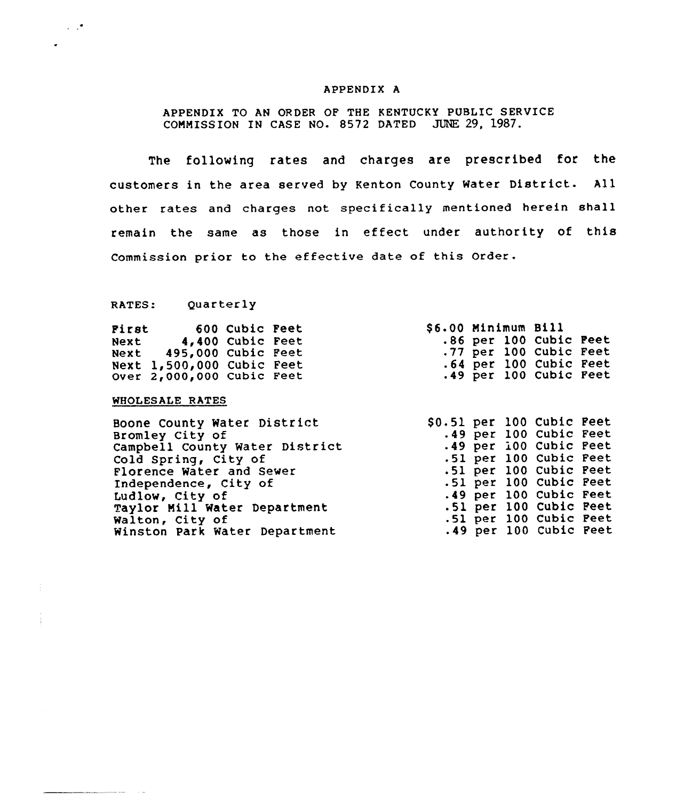### APPENDIX A

APPENDIX TO AN ORDER OF THE KENTUCKy PUBLIC SERVICE CONNISSION IN CASE NO. 8572 DATED JUNE 29, l987.

The following rates and charges are prescribed for the customers in the area served by Kenton County Water District. All other rates and charges not specifically mentioned herein shall remain the same as those in effect under authority of this Commission prior to the effective date of this Order.

RATES: Quarterly

 $\sim$   $\sim$ 

| First |                             | 600 Cubic Feet |  | \$6.00 Minimum Bill |  |                        |  |
|-------|-----------------------------|----------------|--|---------------------|--|------------------------|--|
| Next  | 4,400 Cubic Feet            |                |  |                     |  | .86 per 100 Cubic Feet |  |
|       | Next 495,000 Cubic Feet     |                |  |                     |  | .77 per 100 Cubic Feet |  |
|       | Next $1,500,000$ Cubic Feet |                |  |                     |  | .64 per 100 Cubic Feet |  |
|       | Over $2,000,000$ Cubic Feet |                |  |                     |  | .49 per 100 Cubic Feet |  |

### WHOLESALE RATES

Boone County Water District Bromley City of Campbell County Water District Cold Spring, City of Florence Water and Sever Independence, City of Ludlov, City of Taylor Mill Water Department Walton, City of Winston Park Water Department \$ 0.51 per 100 Cubic Feet .49 per 100 Cubic Feet <sup>~</sup> 49 per 100 Cubic Feet  $.51$  $.51$  $.51$ <sup>~</sup> 49 per 100 Cubic Feet .51 per 100 Cubic<br>.51 per 100 Cubic .49 per 100 Cubic Feetper 100 Cubic per 100 Cubic per 100 Cubic per 100 Cubic Feet Feet Feet Feet Feet